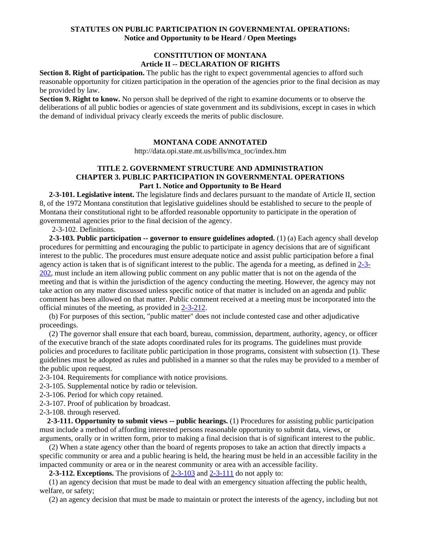## **STATUTES ON PUBLIC PARTICIPATION IN GOVERNMENTAL OPERATIONS: Notice and Opportunity to be Heard / Open Meetings**

# **CONSTITUTION OF MONTANA Article II -- DECLARATION OF RIGHTS**

Section 8. Right of participation. The public has the right to expect governmental agencies to afford such reasonable opportunity for citizen participation in the operation of the agencies prior to the final decision as may be provided by law.

**Section 9. Right to know.** No person shall be deprived of the right to examine documents or to observe the deliberations of all public bodies or agencies of state government and its subdivisions, except in cases in which the demand of individual privacy clearly exceeds the merits of public disclosure.

### **MONTANA CODE ANNOTATED**

http://data.opi.state.mt.us/bills/mca\_toc/index.htm

# **TITLE 2. GOVERNMENT STRUCTURE AND ADMINISTRATION CHAPTER 3. PUBLIC PARTICIPATION IN GOVERNMENTAL OPERATIONS Part 1. Notice and Opportunity to Be Heard**

 **2-3-101. Legislative intent.** The legislature finds and declares pursuant to the mandate of Article II, section 8, of the 1972 Montana constitution that legislative guidelines should be established to secure to the people of Montana their constitutional right to be afforded reasonable opportunity to participate in the operation of governmental agencies prior to the final decision of the agency.

2-3-102. Definitions.

 **2-3-103. Public participation -- governor to ensure guidelines adopted.** (1) (a) Each agency shall develop procedures for permitting and encouraging the public to participate in agency decisions that are of significant interest to the public. The procedures must ensure adequate notice and assist public participation before a final agency action is taken that is of significant interest to the public. The agenda for a meeting, as defined in [2-3-](http://data.opi.mt.gov/bills/mca/2/3/2-3-202.htm) [202,](http://data.opi.mt.gov/bills/mca/2/3/2-3-202.htm) must include an item allowing public comment on any public matter that is not on the agenda of the meeting and that is within the jurisdiction of the agency conducting the meeting. However, the agency may not take action on any matter discussed unless specific notice of that matter is included on an agenda and public comment has been allowed on that matter. Public comment received at a meeting must be incorporated into the official minutes of the meeting, as provided in [2-3-212.](http://data.opi.mt.gov/bills/mca/2/3/2-3-212.htm)

 (b) For purposes of this section, "public matter" does not include contested case and other adjudicative proceedings.

 (2) The governor shall ensure that each board, bureau, commission, department, authority, agency, or officer of the executive branch of the state adopts coordinated rules for its programs. The guidelines must provide policies and procedures to facilitate public participation in those programs, consistent with subsection (1). These guidelines must be adopted as rules and published in a manner so that the rules may be provided to a member of the public upon request.

2-3-104. Requirements for compliance with notice provisions.

2-3-105. Supplemental notice by radio or television.

2-3-106. Period for which copy retained.

2-3-107. Proof of publication by broadcast.

2-3-108. through reserved.

 **2-3-111. Opportunity to submit views -- public hearings.** (1) Procedures for assisting public participation must include a method of affording interested persons reasonable opportunity to submit data, views, or arguments, orally or in written form, prior to making a final decision that is of significant interest to the public.

 (2) When a state agency other than the board of regents proposes to take an action that directly impacts a specific community or area and a public hearing is held, the hearing must be held in an accessible facility in the impacted community or area or in the nearest community or area with an accessible facility.

**2-3-112. Exceptions.** The provisions of [2-3-103](http://data.opi.mt.gov/bills/mca/2/3/2-3-103.htm) and [2-3-111](http://data.opi.mt.gov/bills/mca/2/3/2-3-111.htm) do not apply to:

 (1) an agency decision that must be made to deal with an emergency situation affecting the public health, welfare, or safety;

(2) an agency decision that must be made to maintain or protect the interests of the agency, including but not